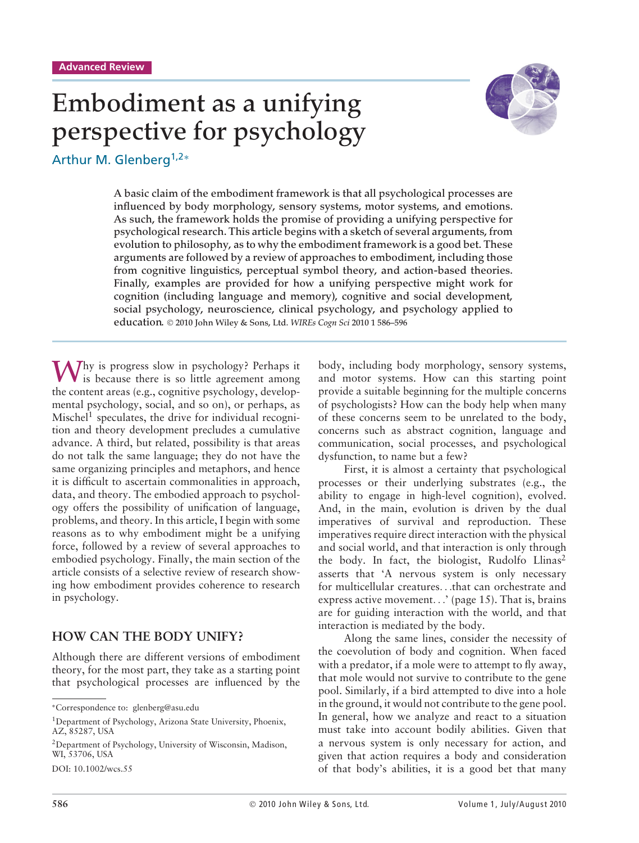

# **Embodiment as a unifying perspective for psychology**

Arthur M. Glenberg<sup>1,2</sup><sup>\*</sup>

**A basic claim of the embodiment framework is that all psychological processes are influenced by body morphology, sensory systems, motor systems, and emotions. As such, the framework holds the promise of providing a unifying perspective for psychological research. This article begins with a sketch of several arguments, from evolution to philosophy, as to why the embodiment framework is a good bet. These arguments are followed by a review of approaches to embodiment, including those from cognitive linguistics, perceptual symbol theory, and action-based theories. Finally, examples are provided for how a unifying perspective might work for cognition (including language and memory), cognitive and social development, social psychology, neuroscience, clinical psychology, and psychology applied to education. 2010 John Wiley & Sons, Ltd.** *WIREs Cogn Sci* **2010 1 586–596**

**W**hy is progress slow in psychology? Perhaps it is because there is so little agreement among the content areas (e.g., cognitive psychology, developmental psychology, social, and so on), or perhaps, as  $Mischel<sup>1</sup>$  speculates, the drive for individual recognition and theory development precludes a cumulative advance. A third, but related, possibility is that areas do not talk the same language; they do not have the same organizing principles and metaphors, and hence it is difficult to ascertain commonalities in approach, data, and theory. The embodied approach to psychology offers the possibility of unification of language, problems, and theory. In this article, I begin with some reasons as to why embodiment might be a unifying force, followed by a review of several approaches to embodied psychology. Finally, the main section of the article consists of a selective review of research showing how embodiment provides coherence to research in psychology.

## **HOW CAN THE BODY UNIFY?**

Although there are different versions of embodiment theory, for the most part, they take as a starting point that psychological processes are influenced by the

body, including body morphology, sensory systems, and motor systems. How can this starting point provide a suitable beginning for the multiple concerns of psychologists? How can the body help when many of these concerns seem to be unrelated to the body, concerns such as abstract cognition, language and communication, social processes, and psychological dysfunction, to name but a few?

First, it is almost a certainty that psychological processes or their underlying substrates (e.g., the ability to engage in high-level cognition), evolved. And, in the main, evolution is driven by the dual imperatives of survival and reproduction. These imperatives require direct interaction with the physical and social world, and that interaction is only through the body. In fact, the biologist, Rudolfo  $Llinas<sup>2</sup>$ asserts that 'A nervous system is only necessary for multicellular creatures*...*that can orchestrate and express active movement*...*' (page 15). That is, brains are for guiding interaction with the world, and that interaction is mediated by the body.

Along the same lines, consider the necessity of the coevolution of body and cognition. When faced with a predator, if a mole were to attempt to fly away, that mole would not survive to contribute to the gene pool. Similarly, if a bird attempted to dive into a hole in the ground, it would not contribute to the gene pool. In general, how we analyze and react to a situation must take into account bodily abilities. Given that a nervous system is only necessary for action, and given that action requires a body and consideration of that body's abilities, it is a good bet that many

<sup>∗</sup>Correspondence to: glenberg@asu.edu

<sup>1</sup>Department of Psychology, Arizona State University, Phoenix, AZ, 85287, USA

<sup>2</sup>Department of Psychology, University of Wisconsin, Madison, WI, 53706, USA

DOI: 10.1002/wcs.55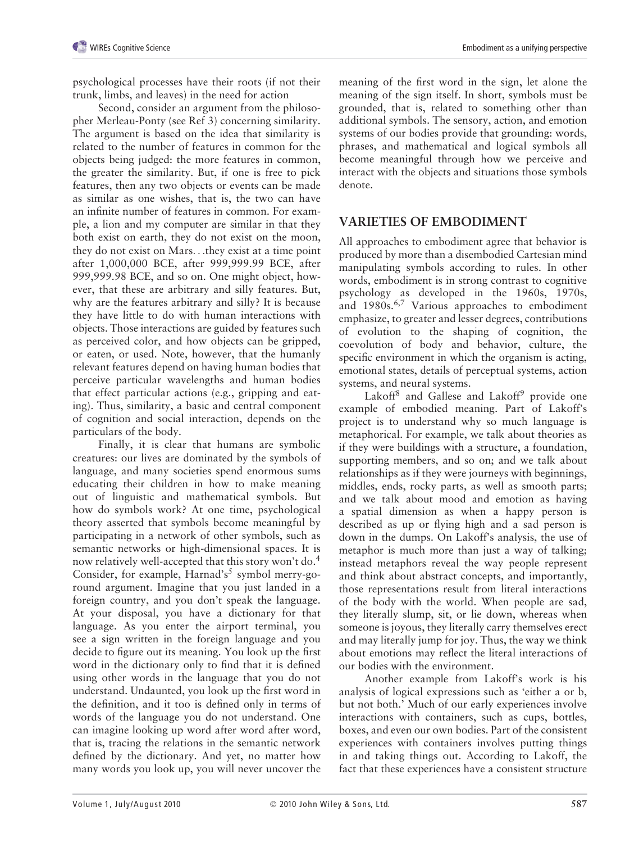psychological processes have their roots (if not their trunk, limbs, and leaves) in the need for action

Second, consider an argument from the philosopher Merleau-Ponty (see Ref 3) concerning similarity. The argument is based on the idea that similarity is related to the number of features in common for the objects being judged: the more features in common, the greater the similarity. But, if one is free to pick features, then any two objects or events can be made as similar as one wishes, that is, the two can have an infinite number of features in common. For example, a lion and my computer are similar in that they both exist on earth, they do not exist on the moon, they do not exist on Mars*...*they exist at a time point after 1,000,000 BCE, after 999,999.99 BCE, after 999,999.98 BCE, and so on. One might object, however, that these are arbitrary and silly features. But, why are the features arbitrary and silly? It is because they have little to do with human interactions with objects. Those interactions are guided by features such as perceived color, and how objects can be gripped, or eaten, or used. Note, however, that the humanly relevant features depend on having human bodies that perceive particular wavelengths and human bodies that effect particular actions (e.g., gripping and eating). Thus, similarity, a basic and central component of cognition and social interaction, depends on the particulars of the body.

Finally, it is clear that humans are symbolic creatures: our lives are dominated by the symbols of language, and many societies spend enormous sums educating their children in how to make meaning out of linguistic and mathematical symbols. But how do symbols work? At one time, psychological theory asserted that symbols become meaningful by participating in a network of other symbols, such as semantic networks or high-dimensional spaces. It is now relatively well-accepted that this story won't do.<sup>4</sup> Consider, for example, Harnad's<sup>5</sup> symbol merry-goround argument. Imagine that you just landed in a foreign country, and you don't speak the language. At your disposal, you have a dictionary for that language. As you enter the airport terminal, you see a sign written in the foreign language and you decide to figure out its meaning. You look up the first word in the dictionary only to find that it is defined using other words in the language that you do not understand. Undaunted, you look up the first word in the definition, and it too is defined only in terms of words of the language you do not understand. One can imagine looking up word after word after word, that is, tracing the relations in the semantic network defined by the dictionary. And yet, no matter how many words you look up, you will never uncover the meaning of the first word in the sign, let alone the meaning of the sign itself. In short, symbols must be grounded, that is, related to something other than additional symbols. The sensory, action, and emotion systems of our bodies provide that grounding: words, phrases, and mathematical and logical symbols all become meaningful through how we perceive and interact with the objects and situations those symbols denote.

# **VARIETIES OF EMBODIMENT**

All approaches to embodiment agree that behavior is produced by more than a disembodied Cartesian mind manipulating symbols according to rules. In other words, embodiment is in strong contrast to cognitive psychology as developed in the 1960s, 1970s, and  $1980s^{6,7}$  Various approaches to embodiment emphasize, to greater and lesser degrees, contributions of evolution to the shaping of cognition, the coevolution of body and behavior, culture, the specific environment in which the organism is acting, emotional states, details of perceptual systems, action systems, and neural systems.

Lakoff<sup>8</sup> and Gallese and Lakoff<sup>9</sup> provide one example of embodied meaning. Part of Lakoff's project is to understand why so much language is metaphorical. For example, we talk about theories as if they were buildings with a structure, a foundation, supporting members, and so on; and we talk about relationships as if they were journeys with beginnings, middles, ends, rocky parts, as well as smooth parts; and we talk about mood and emotion as having a spatial dimension as when a happy person is described as up or flying high and a sad person is down in the dumps. On Lakoff's analysis, the use of metaphor is much more than just a way of talking; instead metaphors reveal the way people represent and think about abstract concepts, and importantly, those representations result from literal interactions of the body with the world. When people are sad, they literally slump, sit, or lie down, whereas when someone is joyous, they literally carry themselves erect and may literally jump for joy. Thus, the way we think about emotions may reflect the literal interactions of our bodies with the environment.

Another example from Lakoff's work is his analysis of logical expressions such as 'either a or b, but not both.' Much of our early experiences involve interactions with containers, such as cups, bottles, boxes, and even our own bodies. Part of the consistent experiences with containers involves putting things in and taking things out. According to Lakoff, the fact that these experiences have a consistent structure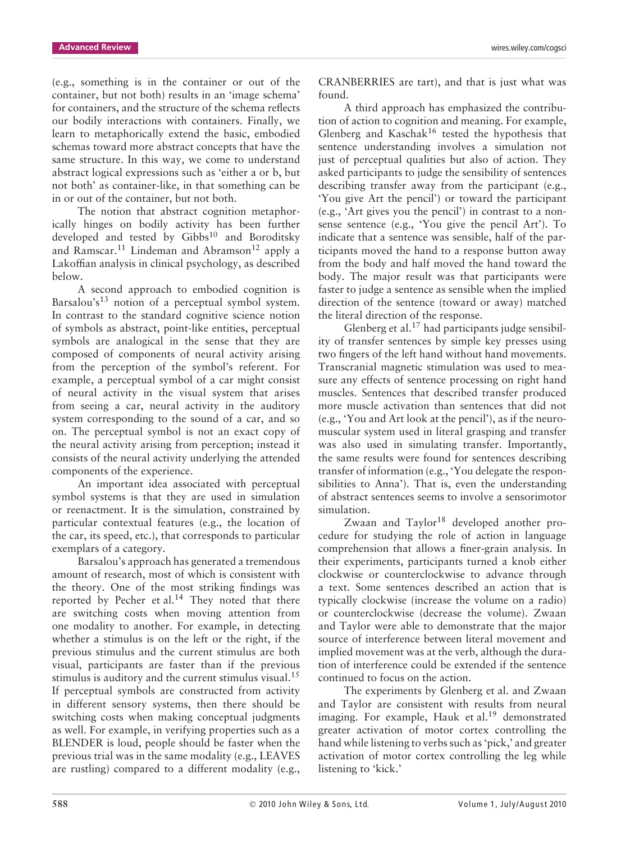(e.g., something is in the container or out of the container, but not both) results in an 'image schema' for containers, and the structure of the schema reflects our bodily interactions with containers. Finally, we learn to metaphorically extend the basic, embodied schemas toward more abstract concepts that have the same structure. In this way, we come to understand abstract logical expressions such as 'either a or b, but not both' as container-like, in that something can be in or out of the container, but not both.

The notion that abstract cognition metaphorically hinges on bodily activity has been further developed and tested by Gibbs<sup>10</sup> and Boroditsky and Ramscar.<sup>11</sup> Lindeman and Abramson<sup>12</sup> apply a Lakoffian analysis in clinical psychology, as described below.

A second approach to embodied cognition is Barsalou's<sup>13</sup> notion of a perceptual symbol system. In contrast to the standard cognitive science notion of symbols as abstract, point-like entities, perceptual symbols are analogical in the sense that they are composed of components of neural activity arising from the perception of the symbol's referent. For example, a perceptual symbol of a car might consist of neural activity in the visual system that arises from seeing a car, neural activity in the auditory system corresponding to the sound of a car, and so on. The perceptual symbol is not an exact copy of the neural activity arising from perception; instead it consists of the neural activity underlying the attended components of the experience.

An important idea associated with perceptual symbol systems is that they are used in simulation or reenactment. It is the simulation, constrained by particular contextual features (e.g., the location of the car, its speed, etc.), that corresponds to particular exemplars of a category.

Barsalou's approach has generated a tremendous amount of research, most of which is consistent with the theory. One of the most striking findings was reported by Pecher et al.<sup>14</sup> They noted that there are switching costs when moving attention from one modality to another. For example, in detecting whether a stimulus is on the left or the right, if the previous stimulus and the current stimulus are both visual, participants are faster than if the previous stimulus is auditory and the current stimulus visual.<sup>15</sup> If perceptual symbols are constructed from activity in different sensory systems, then there should be switching costs when making conceptual judgments as well. For example, in verifying properties such as a BLENDER is loud, people should be faster when the previous trial was in the same modality (e.g., LEAVES are rustling) compared to a different modality (e.g.,

CRANBERRIES are tart), and that is just what was found.

A third approach has emphasized the contribution of action to cognition and meaning. For example, Glenberg and Kaschak<sup>16</sup> tested the hypothesis that sentence understanding involves a simulation not just of perceptual qualities but also of action. They asked participants to judge the sensibility of sentences describing transfer away from the participant (e.g., 'You give Art the pencil') or toward the participant (e.g., 'Art gives you the pencil') in contrast to a nonsense sentence (e.g., 'You give the pencil Art'). To indicate that a sentence was sensible, half of the participants moved the hand to a response button away from the body and half moved the hand toward the body. The major result was that participants were faster to judge a sentence as sensible when the implied direction of the sentence (toward or away) matched the literal direction of the response.

Glenberg et al.<sup>17</sup> had participants judge sensibility of transfer sentences by simple key presses using two fingers of the left hand without hand movements. Transcranial magnetic stimulation was used to measure any effects of sentence processing on right hand muscles. Sentences that described transfer produced more muscle activation than sentences that did not (e.g., 'You and Art look at the pencil'), as if the neuromuscular system used in literal grasping and transfer was also used in simulating transfer. Importantly, the same results were found for sentences describing transfer of information (e.g., 'You delegate the responsibilities to Anna'). That is, even the understanding of abstract sentences seems to involve a sensorimotor simulation.

Zwaan and Taylor<sup>18</sup> developed another procedure for studying the role of action in language comprehension that allows a finer-grain analysis. In their experiments, participants turned a knob either clockwise or counterclockwise to advance through a text. Some sentences described an action that is typically clockwise (increase the volume on a radio) or counterclockwise (decrease the volume). Zwaan and Taylor were able to demonstrate that the major source of interference between literal movement and implied movement was at the verb, although the duration of interference could be extended if the sentence continued to focus on the action.

The experiments by Glenberg et al. and Zwaan and Taylor are consistent with results from neural imaging. For example, Hauk et al.<sup>19</sup> demonstrated greater activation of motor cortex controlling the hand while listening to verbs such as 'pick,' and greater activation of motor cortex controlling the leg while listening to 'kick.'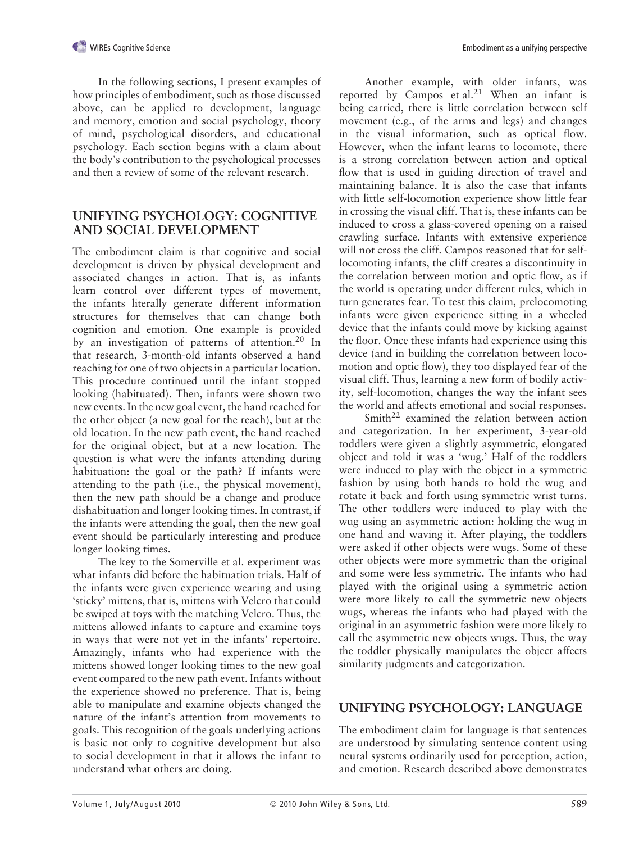In the following sections, I present examples of how principles of embodiment, such as those discussed above, can be applied to development, language and memory, emotion and social psychology, theory of mind, psychological disorders, and educational psychology. Each section begins with a claim about the body's contribution to the psychological processes and then a review of some of the relevant research.

## **UNIFYING PSYCHOLOGY: COGNITIVE AND SOCIAL DEVELOPMENT**

The embodiment claim is that cognitive and social development is driven by physical development and associated changes in action. That is, as infants learn control over different types of movement, the infants literally generate different information structures for themselves that can change both cognition and emotion. One example is provided by an investigation of patterns of attention.<sup>20</sup> In that research, 3-month-old infants observed a hand reaching for one of two objects in a particular location. This procedure continued until the infant stopped looking (habituated). Then, infants were shown two new events. In the new goal event, the hand reached for the other object (a new goal for the reach), but at the old location. In the new path event, the hand reached for the original object, but at a new location. The question is what were the infants attending during habituation: the goal or the path? If infants were attending to the path (i.e., the physical movement), then the new path should be a change and produce dishabituation and longer looking times. In contrast, if the infants were attending the goal, then the new goal event should be particularly interesting and produce longer looking times.

The key to the Somerville et al. experiment was what infants did before the habituation trials. Half of the infants were given experience wearing and using 'sticky' mittens, that is, mittens with Velcro that could be swiped at toys with the matching Velcro. Thus, the mittens allowed infants to capture and examine toys in ways that were not yet in the infants' repertoire. Amazingly, infants who had experience with the mittens showed longer looking times to the new goal event compared to the new path event. Infants without the experience showed no preference. That is, being able to manipulate and examine objects changed the nature of the infant's attention from movements to goals. This recognition of the goals underlying actions is basic not only to cognitive development but also to social development in that it allows the infant to understand what others are doing.

Another example, with older infants, was reported by Campos et al.<sup>21</sup> When an infant is being carried, there is little correlation between self movement (e.g., of the arms and legs) and changes in the visual information, such as optical flow. However, when the infant learns to locomote, there is a strong correlation between action and optical flow that is used in guiding direction of travel and maintaining balance. It is also the case that infants with little self-locomotion experience show little fear in crossing the visual cliff. That is, these infants can be induced to cross a glass-covered opening on a raised crawling surface. Infants with extensive experience will not cross the cliff. Campos reasoned that for selflocomoting infants, the cliff creates a discontinuity in the correlation between motion and optic flow, as if the world is operating under different rules, which in turn generates fear. To test this claim, prelocomoting infants were given experience sitting in a wheeled device that the infants could move by kicking against the floor. Once these infants had experience using this device (and in building the correlation between locomotion and optic flow), they too displayed fear of the visual cliff. Thus, learning a new form of bodily activity, self-locomotion, changes the way the infant sees the world and affects emotional and social responses.

Smith<sup>22</sup> examined the relation between action and categorization. In her experiment, 3-year-old toddlers were given a slightly asymmetric, elongated object and told it was a 'wug.' Half of the toddlers were induced to play with the object in a symmetric fashion by using both hands to hold the wug and rotate it back and forth using symmetric wrist turns. The other toddlers were induced to play with the wug using an asymmetric action: holding the wug in one hand and waving it. After playing, the toddlers were asked if other objects were wugs. Some of these other objects were more symmetric than the original and some were less symmetric. The infants who had played with the original using a symmetric action were more likely to call the symmetric new objects wugs, whereas the infants who had played with the original in an asymmetric fashion were more likely to call the asymmetric new objects wugs. Thus, the way the toddler physically manipulates the object affects similarity judgments and categorization.

# **UNIFYING PSYCHOLOGY: LANGUAGE**

The embodiment claim for language is that sentences are understood by simulating sentence content using neural systems ordinarily used for perception, action, and emotion. Research described above demonstrates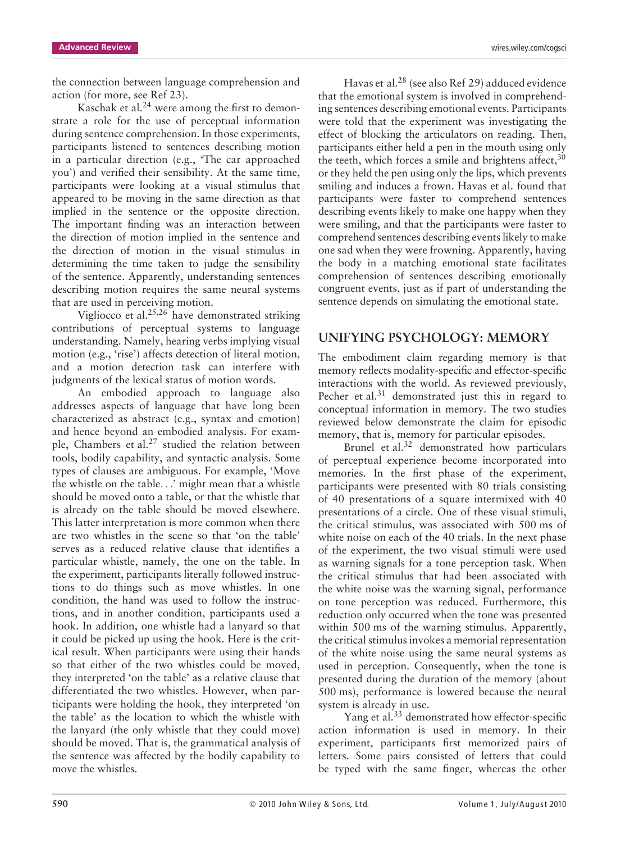the connection between language comprehension and action (for more, see Ref 23).

Kaschak et al.<sup>24</sup> were among the first to demonstrate a role for the use of perceptual information during sentence comprehension. In those experiments, participants listened to sentences describing motion in a particular direction (e.g., 'The car approached you') and verified their sensibility. At the same time, participants were looking at a visual stimulus that appeared to be moving in the same direction as that implied in the sentence or the opposite direction. The important finding was an interaction between the direction of motion implied in the sentence and the direction of motion in the visual stimulus in determining the time taken to judge the sensibility of the sentence. Apparently, understanding sentences describing motion requires the same neural systems that are used in perceiving motion.

Vigliocco et al. $25,26$  have demonstrated striking contributions of perceptual systems to language understanding. Namely, hearing verbs implying visual motion (e.g., 'rise') affects detection of literal motion, and a motion detection task can interfere with judgments of the lexical status of motion words.

An embodied approach to language also addresses aspects of language that have long been characterized as abstract (e.g., syntax and emotion) and hence beyond an embodied analysis. For example, Chambers et al.<sup>27</sup> studied the relation between tools, bodily capability, and syntactic analysis. Some types of clauses are ambiguous. For example, 'Move the whistle on the table*...*' might mean that a whistle should be moved onto a table, or that the whistle that is already on the table should be moved elsewhere. This latter interpretation is more common when there are two whistles in the scene so that 'on the table' serves as a reduced relative clause that identifies a particular whistle, namely, the one on the table. In the experiment, participants literally followed instructions to do things such as move whistles. In one condition, the hand was used to follow the instructions, and in another condition, participants used a hook. In addition, one whistle had a lanyard so that it could be picked up using the hook. Here is the critical result. When participants were using their hands so that either of the two whistles could be moved, they interpreted 'on the table' as a relative clause that differentiated the two whistles. However, when participants were holding the hook, they interpreted 'on the table' as the location to which the whistle with the lanyard (the only whistle that they could move) should be moved. That is, the grammatical analysis of the sentence was affected by the bodily capability to move the whistles.

Havas et al.28 (see also Ref 29) adduced evidence that the emotional system is involved in comprehending sentences describing emotional events. Participants were told that the experiment was investigating the effect of blocking the articulators on reading. Then, participants either held a pen in the mouth using only the teeth, which forces a smile and brightens affect,  $30$ or they held the pen using only the lips, which prevents smiling and induces a frown. Havas et al. found that participants were faster to comprehend sentences describing events likely to make one happy when they were smiling, and that the participants were faster to comprehend sentences describing events likely to make one sad when they were frowning. Apparently, having the body in a matching emotional state facilitates comprehension of sentences describing emotionally congruent events, just as if part of understanding the sentence depends on simulating the emotional state.

#### **UNIFYING PSYCHOLOGY: MEMORY**

The embodiment claim regarding memory is that memory reflects modality-specific and effector-specific interactions with the world. As reviewed previously, Pecher et al.<sup>31</sup> demonstrated just this in regard to conceptual information in memory. The two studies reviewed below demonstrate the claim for episodic memory, that is, memory for particular episodes.

Brunel et al. $32$  demonstrated how particulars of perceptual experience become incorporated into memories. In the first phase of the experiment, participants were presented with 80 trials consisting of 40 presentations of a square intermixed with 40 presentations of a circle. One of these visual stimuli, the critical stimulus, was associated with 500 ms of white noise on each of the 40 trials. In the next phase of the experiment, the two visual stimuli were used as warning signals for a tone perception task. When the critical stimulus that had been associated with the white noise was the warning signal, performance on tone perception was reduced. Furthermore, this reduction only occurred when the tone was presented within 500 ms of the warning stimulus. Apparently, the critical stimulus invokes a memorial representation of the white noise using the same neural systems as used in perception. Consequently, when the tone is presented during the duration of the memory (about 500 ms), performance is lowered because the neural system is already in use.

Yang et al.<sup>33</sup> demonstrated how effector-specific action information is used in memory. In their experiment, participants first memorized pairs of letters. Some pairs consisted of letters that could be typed with the same finger, whereas the other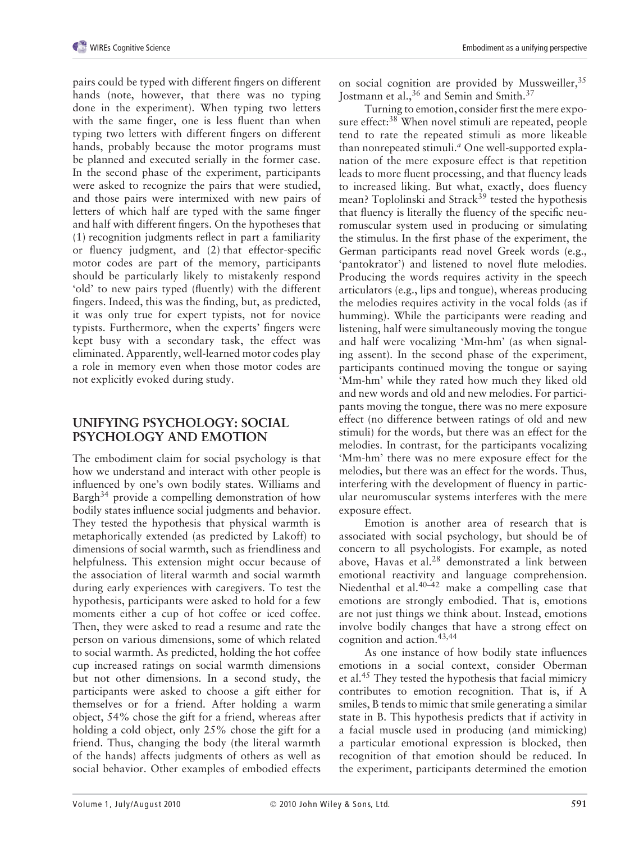pairs could be typed with different fingers on different hands (note, however, that there was no typing done in the experiment). When typing two letters with the same finger, one is less fluent than when typing two letters with different fingers on different hands, probably because the motor programs must be planned and executed serially in the former case. In the second phase of the experiment, participants were asked to recognize the pairs that were studied, and those pairs were intermixed with new pairs of letters of which half are typed with the same finger and half with different fingers. On the hypotheses that (1) recognition judgments reflect in part a familiarity or fluency judgment, and (2) that effector-specific motor codes are part of the memory, participants should be particularly likely to mistakenly respond 'old' to new pairs typed (fluently) with the different fingers. Indeed, this was the finding, but, as predicted, it was only true for expert typists, not for novice typists. Furthermore, when the experts' fingers were kept busy with a secondary task, the effect was eliminated. Apparently, well-learned motor codes play a role in memory even when those motor codes are not explicitly evoked during study.

## **UNIFYING PSYCHOLOGY: SOCIAL PSYCHOLOGY AND EMOTION**

The embodiment claim for social psychology is that how we understand and interact with other people is influenced by one's own bodily states. Williams and Bargh $34$  provide a compelling demonstration of how bodily states influence social judgments and behavior. They tested the hypothesis that physical warmth is metaphorically extended (as predicted by Lakoff) to dimensions of social warmth, such as friendliness and helpfulness. This extension might occur because of the association of literal warmth and social warmth during early experiences with caregivers. To test the hypothesis, participants were asked to hold for a few moments either a cup of hot coffee or iced coffee. Then, they were asked to read a resume and rate the person on various dimensions, some of which related to social warmth. As predicted, holding the hot coffee cup increased ratings on social warmth dimensions but not other dimensions. In a second study, the participants were asked to choose a gift either for themselves or for a friend. After holding a warm object, 54% chose the gift for a friend, whereas after holding a cold object, only 25% chose the gift for a friend. Thus, changing the body (the literal warmth of the hands) affects judgments of others as well as social behavior. Other examples of embodied effects on social cognition are provided by Mussweiller,  $35$ Jostmann et al.,<sup>36</sup> and Semin and Smith.<sup>37</sup>

Turning to emotion, consider first the mere exposure effect:<sup>38</sup> When novel stimuli are repeated, people tend to rate the repeated stimuli as more likeable than nonrepeated stimuli.*<sup>a</sup>* One well-supported explanation of the mere exposure effect is that repetition leads to more fluent processing, and that fluency leads to increased liking. But what, exactly, does fluency mean? Toplolinski and Strack<sup>39</sup> tested the hypothesis that fluency is literally the fluency of the specific neuromuscular system used in producing or simulating the stimulus. In the first phase of the experiment, the German participants read novel Greek words (e.g., 'pantokrator') and listened to novel flute melodies. Producing the words requires activity in the speech articulators (e.g., lips and tongue), whereas producing the melodies requires activity in the vocal folds (as if humming). While the participants were reading and listening, half were simultaneously moving the tongue and half were vocalizing 'Mm-hm' (as when signaling assent). In the second phase of the experiment, participants continued moving the tongue or saying 'Mm-hm' while they rated how much they liked old and new words and old and new melodies. For participants moving the tongue, there was no mere exposure effect (no difference between ratings of old and new stimuli) for the words, but there was an effect for the melodies. In contrast, for the participants vocalizing 'Mm-hm' there was no mere exposure effect for the melodies, but there was an effect for the words. Thus, interfering with the development of fluency in particular neuromuscular systems interferes with the mere exposure effect.

Emotion is another area of research that is associated with social psychology, but should be of concern to all psychologists. For example, as noted above, Havas et al.<sup>28</sup> demonstrated a link between emotional reactivity and language comprehension. Niedenthal et al. $40-42$  make a compelling case that emotions are strongly embodied. That is, emotions are not just things we think about. Instead, emotions involve bodily changes that have a strong effect on cognition and action. $43,44$ 

As one instance of how bodily state influences emotions in a social context, consider Oberman et al.<sup>45</sup> They tested the hypothesis that facial mimicry contributes to emotion recognition. That is, if A smiles, B tends to mimic that smile generating a similar state in B. This hypothesis predicts that if activity in a facial muscle used in producing (and mimicking) a particular emotional expression is blocked, then recognition of that emotion should be reduced. In the experiment, participants determined the emotion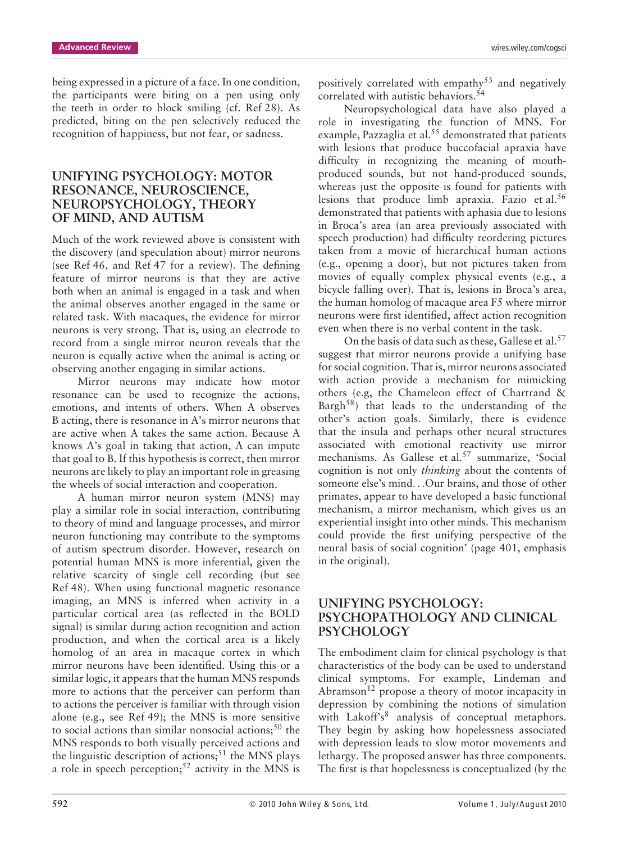being expressed in a picture of a face. In one condition, the participants were biting on a pen using only the teeth in order to block smiling (cf. Ref 28). As predicted, biting on the pen selectively reduced the recognition of happiness, but not fear, or sadness.

#### **UNIFYING PSYCHOLOGY: MOTOR RESONANCE, NEUROSCIENCE, NEUROPSYCHOLOGY, THEORY OF MIND, AND AUTISM**

Much of the work reviewed above is consistent with the discovery (and speculation about) mirror neurons (see Ref 46, and Ref 47 for a review). The defining feature of mirror neurons is that they are active both when an animal is engaged in a task and when the animal observes another engaged in the same or related task. With macaques, the evidence for mirror neurons is very strong. That is, using an electrode to record from a single mirror neuron reveals that the neuron is equally active when the animal is acting or observing another engaging in similar actions.

Mirror neurons may indicate how motor resonance can be used to recognize the actions, emotions, and intents of others. When A observes B acting, there is resonance in A's mirror neurons that are active when A takes the same action. Because A knows A's goal in taking that action, A can impute that goal to B. If this hypothesis is correct, then mirror neurons are likely to play an important role in greasing the wheels of social interaction and cooperation.

A human mirror neuron system (MNS) may play a similar role in social interaction, contributing to theory of mind and language processes, and mirror neuron functioning may contribute to the symptoms of autism spectrum disorder. However, research on potential human MNS is more inferential, given the relative scarcity of single cell recording (but see Ref 48). When using functional magnetic resonance imaging, an MNS is inferred when activity in a particular cortical area (as reflected in the BOLD signal) is similar during action recognition and action production, and when the cortical area is a likely homolog of an area in macaque cortex in which mirror neurons have been identified. Using this or a similar logic, it appears that the human MNS responds more to actions that the perceiver can perform than to actions the perceiver is familiar with through vision alone (e.g., see Ref 49); the MNS is more sensitive to social actions than similar nonsocial actions;<sup>50</sup> the MNS responds to both visually perceived actions and the linguistic description of actions;<sup>51</sup> the MNS plays a role in speech perception;<sup>52</sup> activity in the MNS is

positively correlated with empathy<sup>53</sup> and negatively correlated with autistic behaviors.<sup>54</sup>

Neuropsychological data have also played a role in investigating the function of MNS. For example, Pazzaglia et al.<sup>55</sup> demonstrated that patients with lesions that produce buccofacial apraxia have difficulty in recognizing the meaning of mouthproduced sounds, but not hand-produced sounds, whereas just the opposite is found for patients with lesions that produce limb apraxia. Fazio et al.<sup>56</sup> demonstrated that patients with aphasia due to lesions in Broca's area (an area previously associated with speech production) had difficulty reordering pictures taken from a movie of hierarchical human actions (e.g., opening a door), but not pictures taken from movies of equally complex physical events (e.g., a bicycle falling over). That is, lesions in Broca's area, the human homolog of macaque area F5 where mirror neurons were first identified, affect action recognition even when there is no verbal content in the task.

On the basis of data such as these, Gallese et al.<sup>57</sup> suggest that mirror neurons provide a unifying base for social cognition. That is, mirror neurons associated with action provide a mechanism for mimicking others (e.g, the Chameleon effect of Chartrand & Bargh<sup>58</sup>) that leads to the understanding of the other's action goals. Similarly, there is evidence that the insula and perhaps other neural structures associated with emotional reactivity use mirror mechanisms. As Gallese et al.<sup>57</sup> summarize, 'Social cognition is not only *thinking* about the contents of someone else's mind*...*Our brains, and those of other primates, appear to have developed a basic functional mechanism, a mirror mechanism, which gives us an experiential insight into other minds. This mechanism could provide the first unifying perspective of the neural basis of social cognition' (page 401, emphasis in the original).

#### **UNIFYING PSYCHOLOGY: PSYCHOPATHOLOGY AND CLINICAL PSYCHOLOGY**

The embodiment claim for clinical psychology is that characteristics of the body can be used to understand clinical symptoms. For example, Lindeman and Abramson<sup>12</sup> propose a theory of motor incapacity in depression by combining the notions of simulation with Lakoff's<sup>8</sup> analysis of conceptual metaphors. They begin by asking how hopelessness associated with depression leads to slow motor movements and lethargy. The proposed answer has three components. The first is that hopelessness is conceptualized (by the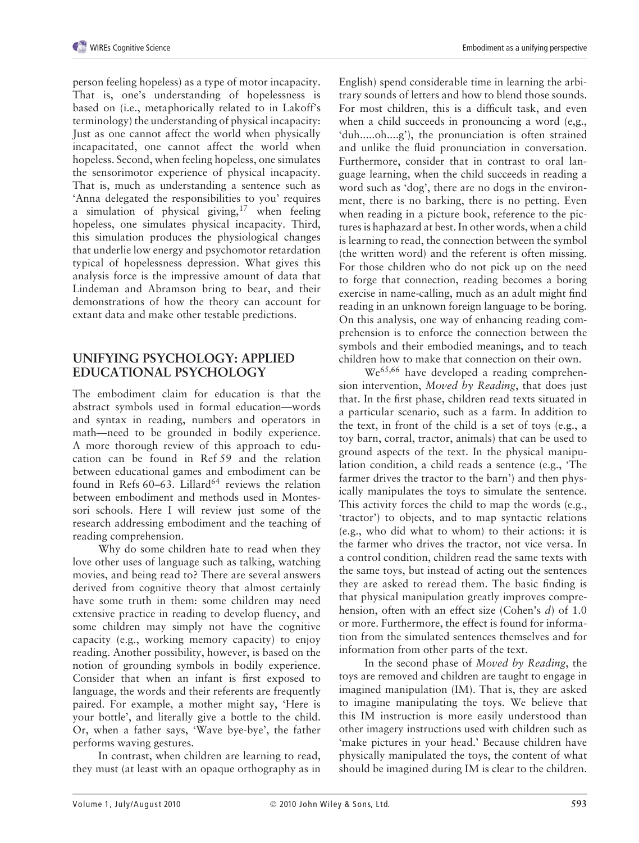person feeling hopeless) as a type of motor incapacity. That is, one's understanding of hopelessness is based on (i.e., metaphorically related to in Lakoff's terminology) the understanding of physical incapacity: Just as one cannot affect the world when physically incapacitated, one cannot affect the world when hopeless. Second, when feeling hopeless, one simulates the sensorimotor experience of physical incapacity. That is, much as understanding a sentence such as 'Anna delegated the responsibilities to you' requires a simulation of physical giving,  $17$  when feeling hopeless, one simulates physical incapacity. Third, this simulation produces the physiological changes that underlie low energy and psychomotor retardation typical of hopelessness depression. What gives this analysis force is the impressive amount of data that Lindeman and Abramson bring to bear, and their demonstrations of how the theory can account for extant data and make other testable predictions.

## **UNIFYING PSYCHOLOGY: APPLIED EDUCATIONAL PSYCHOLOGY**

The embodiment claim for education is that the abstract symbols used in formal education—words and syntax in reading, numbers and operators in math—need to be grounded in bodily experience. A more thorough review of this approach to education can be found in Ref 59 and the relation between educational games and embodiment can be found in Refs  $60-63$ . Lillard<sup>64</sup> reviews the relation between embodiment and methods used in Montessori schools. Here I will review just some of the research addressing embodiment and the teaching of reading comprehension.

Why do some children hate to read when they love other uses of language such as talking, watching movies, and being read to? There are several answers derived from cognitive theory that almost certainly have some truth in them: some children may need extensive practice in reading to develop fluency, and some children may simply not have the cognitive capacity (e.g., working memory capacity) to enjoy reading. Another possibility, however, is based on the notion of grounding symbols in bodily experience. Consider that when an infant is first exposed to language, the words and their referents are frequently paired. For example, a mother might say, 'Here is your bottle', and literally give a bottle to the child. Or, when a father says, 'Wave bye-bye', the father performs waving gestures.

In contrast, when children are learning to read, they must (at least with an opaque orthography as in

English) spend considerable time in learning the arbitrary sounds of letters and how to blend those sounds. For most children, this is a difficult task, and even when a child succeeds in pronouncing a word (e,g., 'duh.....oh....g'), the pronunciation is often strained and unlike the fluid pronunciation in conversation. Furthermore, consider that in contrast to oral language learning, when the child succeeds in reading a word such as 'dog', there are no dogs in the environment, there is no barking, there is no petting. Even when reading in a picture book, reference to the pictures is haphazard at best. In other words, when a child is learning to read, the connection between the symbol (the written word) and the referent is often missing. For those children who do not pick up on the need to forge that connection, reading becomes a boring exercise in name-calling, much as an adult might find reading in an unknown foreign language to be boring. On this analysis, one way of enhancing reading comprehension is to enforce the connection between the symbols and their embodied meanings, and to teach children how to make that connection on their own.

We<sup>65,66</sup> have developed a reading comprehension intervention, *Moved by Reading*, that does just that. In the first phase, children read texts situated in a particular scenario, such as a farm. In addition to the text, in front of the child is a set of toys (e.g., a toy barn, corral, tractor, animals) that can be used to ground aspects of the text. In the physical manipulation condition, a child reads a sentence (e.g., 'The farmer drives the tractor to the barn') and then physically manipulates the toys to simulate the sentence. This activity forces the child to map the words (e.g., 'tractor') to objects, and to map syntactic relations (e.g., who did what to whom) to their actions: it is the farmer who drives the tractor, not vice versa. In a control condition, children read the same texts with the same toys, but instead of acting out the sentences they are asked to reread them. The basic finding is that physical manipulation greatly improves comprehension, often with an effect size (Cohen's *d*) of 1.0 or more. Furthermore, the effect is found for information from the simulated sentences themselves and for information from other parts of the text.

In the second phase of *Moved by Reading*, the toys are removed and children are taught to engage in imagined manipulation (IM). That is, they are asked to imagine manipulating the toys. We believe that this IM instruction is more easily understood than other imagery instructions used with children such as 'make pictures in your head.' Because children have physically manipulated the toys, the content of what should be imagined during IM is clear to the children.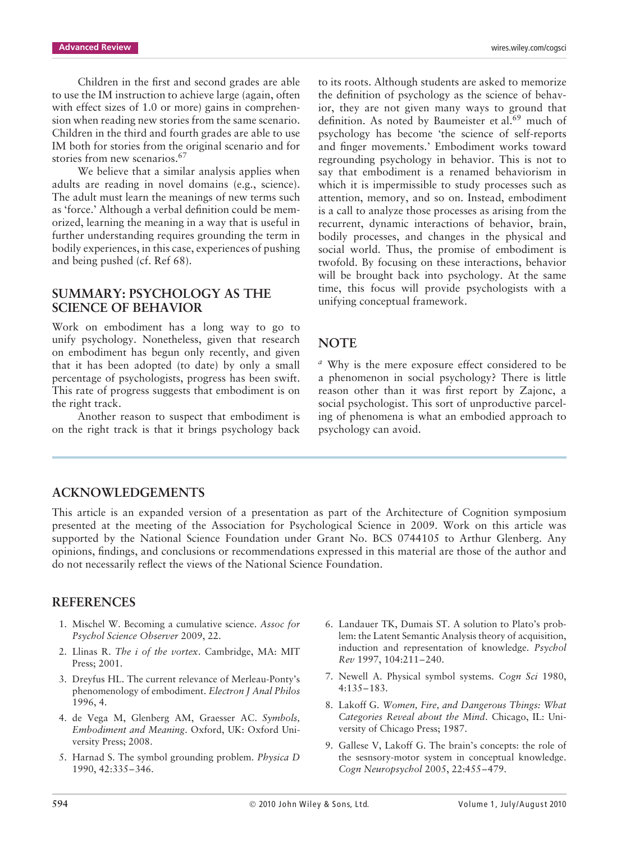Children in the first and second grades are able to use the IM instruction to achieve large (again, often with effect sizes of 1.0 or more) gains in comprehension when reading new stories from the same scenario. Children in the third and fourth grades are able to use IM both for stories from the original scenario and for stories from new scenarios.<sup>67</sup>

We believe that a similar analysis applies when adults are reading in novel domains (e.g., science). The adult must learn the meanings of new terms such as 'force.' Although a verbal definition could be memorized, learning the meaning in a way that is useful in further understanding requires grounding the term in bodily experiences, in this case, experiences of pushing and being pushed (cf. Ref 68).

#### **SUMMARY: PSYCHOLOGY AS THE SCIENCE OF BEHAVIOR**

Work on embodiment has a long way to go to unify psychology. Nonetheless, given that research on embodiment has begun only recently, and given that it has been adopted (to date) by only a small percentage of psychologists, progress has been swift. This rate of progress suggests that embodiment is on the right track.

Another reason to suspect that embodiment is on the right track is that it brings psychology back to its roots. Although students are asked to memorize the definition of psychology as the science of behavior, they are not given many ways to ground that definition. As noted by Baumeister et al.<sup>69</sup> much of psychology has become 'the science of self-reports and finger movements.' Embodiment works toward regrounding psychology in behavior. This is not to say that embodiment is a renamed behaviorism in which it is impermissible to study processes such as attention, memory, and so on. Instead, embodiment is a call to analyze those processes as arising from the recurrent, dynamic interactions of behavior, brain, bodily processes, and changes in the physical and social world. Thus, the promise of embodiment is twofold. By focusing on these interactions, behavior will be brought back into psychology. At the same time, this focus will provide psychologists with a unifying conceptual framework.

#### **NOTE**

*<sup>a</sup>* Why is the mere exposure effect considered to be a phenomenon in social psychology? There is little reason other than it was first report by Zajonc, a social psychologist. This sort of unproductive parceling of phenomena is what an embodied approach to psychology can avoid.

#### **ACKNOWLEDGEMENTS**

This article is an expanded version of a presentation as part of the Architecture of Cognition symposium presented at the meeting of the Association for Psychological Science in 2009. Work on this article was supported by the National Science Foundation under Grant No. BCS 0744105 to Arthur Glenberg. Any opinions, findings, and conclusions or recommendations expressed in this material are those of the author and do not necessarily reflect the views of the National Science Foundation.

#### **REFERENCES**

- 1. Mischel W. Becoming a cumulative science. *Assoc for Psychol Science Observer* 2009, 22.
- 2. Llinas R. *The i of the vortex*. Cambridge, MA: MIT Press; 2001.
- 3. Dreyfus HL. The current relevance of Merleau-Ponty's phenomenology of embodiment. *Electron J Anal Philos* 1996, 4.
- 4. de Vega M, Glenberg AM, Graesser AC. *Symbols, Embodiment and Meaning*. Oxford, UK: Oxford University Press; 2008.
- 5. Harnad S. The symbol grounding problem. *Physica D* 1990, 42:335–346.
- 6. Landauer TK, Dumais ST. A solution to Plato's problem: the Latent Semantic Analysis theory of acquisition, induction and representation of knowledge. *Psychol Rev* 1997, 104:211–240.
- 7. Newell A. Physical symbol systems. *Cogn Sci* 1980, 4:135–183.
- 8. Lakoff G. *Women, Fire, and Dangerous Things: What Categories Reveal about the Mind*. Chicago, IL: University of Chicago Press; 1987.
- 9. Gallese V, Lakoff G. The brain's concepts: the role of the sesnsory-motor system in conceptual knowledge. *Cogn Neuropsychol* 2005, 22:455–479.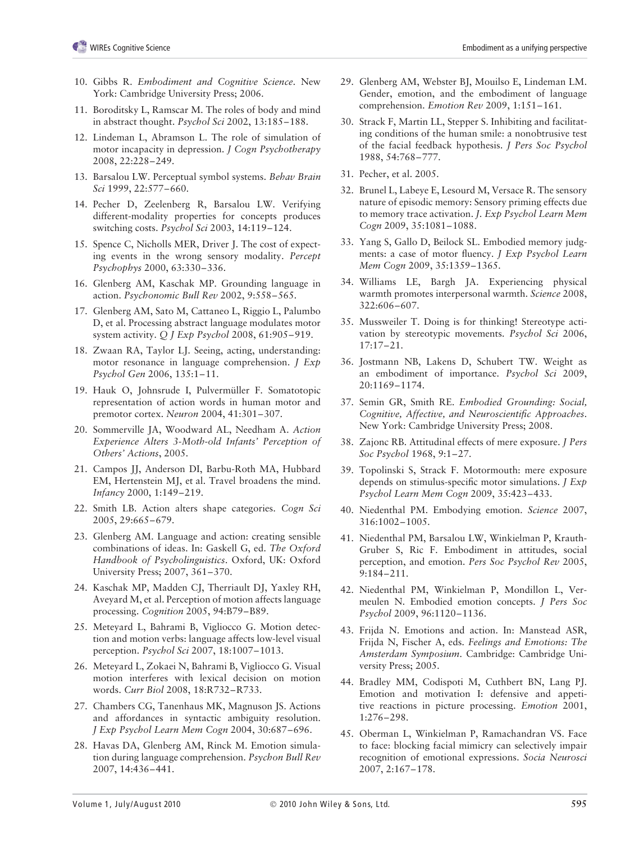- 10. Gibbs R. *Embodiment and Cognitive Science*. New York: Cambridge University Press; 2006.
- 11. Boroditsky L, Ramscar M. The roles of body and mind in abstract thought. *Psychol Sci* 2002, 13:185–188.
- 12. Lindeman L, Abramson L. The role of simulation of motor incapacity in depression. *J Cogn Psychotherapy* 2008, 22:228–249.
- 13. Barsalou LW. Perceptual symbol systems. *Behav Brain Sci* 1999, 22:577–660.
- 14. Pecher D, Zeelenberg R, Barsalou LW. Verifying different-modality properties for concepts produces switching costs. *Psychol Sci* 2003, 14:119–124.
- 15. Spence C, Nicholls MER, Driver J. The cost of expecting events in the wrong sensory modality. *Percept Psychophys* 2000, 63:330–336.
- 16. Glenberg AM, Kaschak MP. Grounding language in action. *Psychonomic Bull Rev* 2002, 9:558–565.
- 17. Glenberg AM, Sato M, Cattaneo L, Riggio L, Palumbo D, et al. Processing abstract language modulates motor system activity. *Q J Exp Psychol* 2008, 61:905–919.
- 18. Zwaan RA, Taylor LJ. Seeing, acting, understanding: motor resonance in language comprehension. *J Exp Psychol Gen* 2006, 135:1–11.
- 19. Hauk O, Johnsrude I, Pulvermüller F. Somatotopic representation of action words in human motor and premotor cortex. *Neuron* 2004, 41:301–307.
- 20. Sommerville JA, Woodward AL, Needham A. *Action Experience Alters 3-Moth-old Infants' Perception of Others' Actions*, 2005.
- 21. Campos JJ, Anderson DI, Barbu-Roth MA, Hubbard EM, Hertenstein MJ, et al. Travel broadens the mind. *Infancy* 2000, 1:149–219.
- 22. Smith LB. Action alters shape categories. *Cogn Sci* 2005, 29:665–679.
- 23. Glenberg AM. Language and action: creating sensible combinations of ideas. In: Gaskell G, ed. *The Oxford Handbook of Psycholinguistics*. Oxford, UK: Oxford University Press; 2007, 361–370.
- 24. Kaschak MP, Madden CJ, Therriault DJ, Yaxley RH, Aveyard M, et al. Perception of motion affects language processing. *Cognition* 2005, 94:B79–B89.
- 25. Meteyard L, Bahrami B, Vigliocco G. Motion detection and motion verbs: language affects low-level visual perception. *Psychol Sci* 2007, 18:1007–1013.
- 26. Meteyard L, Zokaei N, Bahrami B, Vigliocco G. Visual motion interferes with lexical decision on motion words. *Curr Biol* 2008, 18:R732–R733.
- 27. Chambers CG, Tanenhaus MK, Magnuson JS. Actions and affordances in syntactic ambiguity resolution. *J Exp Psychol Learn Mem Cogn* 2004, 30:687–696.
- 28. Havas DA, Glenberg AM, Rinck M. Emotion simulation during language comprehension. *Psychon Bull Rev* 2007, 14:436–441.
- 29. Glenberg AM, Webster BJ, Mouilso E, Lindeman LM. Gender, emotion, and the embodiment of language comprehension. *Emotion Rev* 2009, 1:151–161.
- 30. Strack F, Martin LL, Stepper S. Inhibiting and facilitating conditions of the human smile: a nonobtrusive test of the facial feedback hypothesis. *J Pers Soc Psychol* 1988, 54:768–777.
- 31. Pecher, et al. 2005.
- 32. Brunel L, Labeye E, Lesourd M, Versace R. The sensory nature of episodic memory: Sensory priming effects due to memory trace activation. *J. Exp Psychol Learn Mem Cogn* 2009, 35:1081–1088.
- 33. Yang S, Gallo D, Beilock SL. Embodied memory judgments: a case of motor fluency. *J Exp Psychol Learn Mem Cogn* 2009, 35:1359–1365.
- 34. Williams LE, Bargh JA. Experiencing physical warmth promotes interpersonal warmth. *Science* 2008, 322:606–607.
- 35. Mussweiler T. Doing is for thinking! Stereotype activation by stereotypic movements. *Psychol Sci* 2006, 17:17–21.
- 36. Jostmann NB, Lakens D, Schubert TW. Weight as an embodiment of importance. *Psychol Sci* 2009, 20:1169–1174.
- 37. Semin GR, Smith RE. *Embodied Grounding: Social, Cognitive, Affective, and Neuroscientific Approaches*. New York: Cambridge University Press; 2008.
- 38. Zajonc RB. Attitudinal effects of mere exposure. *J Pers Soc Psychol* 1968, 9:1–27.
- 39. Topolinski S, Strack F. Motormouth: mere exposure depends on stimulus-specific motor simulations. *J Exp Psychol Learn Mem Cogn* 2009, 35:423–433.
- 40. Niedenthal PM. Embodying emotion. *Science* 2007, 316:1002–1005.
- 41. Niedenthal PM, Barsalou LW, Winkielman P, Krauth-Gruber S, Ric F. Embodiment in attitudes, social perception, and emotion. *Pers Soc Psychol Rev* 2005, 9:184–211.
- 42. Niedenthal PM, Winkielman P, Mondillon L, Vermeulen N. Embodied emotion concepts. *J Pers Soc Psychol* 2009, 96:1120–1136.
- 43. Frijda N. Emotions and action. In: Manstead ASR, Frijda N, Fischer A, eds. *Feelings and Emotions: The Amsterdam Symposium*. Cambridge: Cambridge University Press; 2005.
- 44. Bradley MM, Codispoti M, Cuthbert BN, Lang PJ. Emotion and motivation I: defensive and appetitive reactions in picture processing. *Emotion* 2001, 1:276–298.
- 45. Oberman L, Winkielman P, Ramachandran VS. Face to face: blocking facial mimicry can selectively impair recognition of emotional expressions. *Socia Neurosci* 2007, 2:167–178.